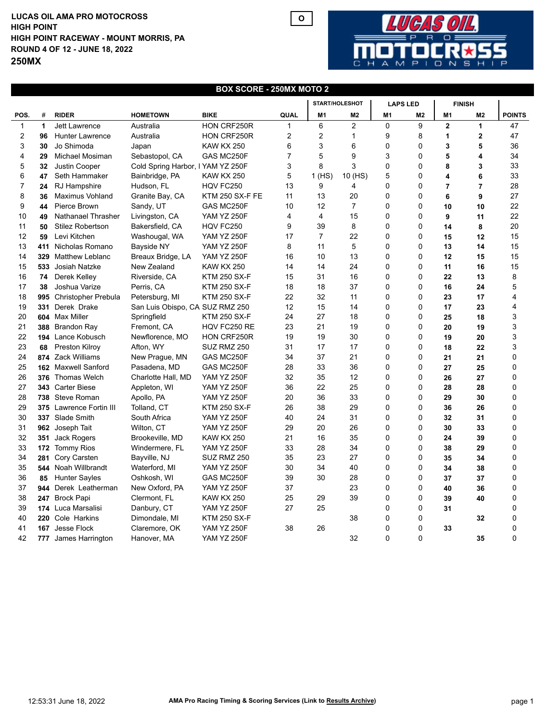## **LUCAS OIL AMA PRO MOTOCROSS HIGH POINT RACEWAY - MOUNT MORRIS, PA ROUND 4 OF 12 - JUNE 18, 2022 250MX HIGH POINT**



## **BOX SCORE - 250MX MOTO 2**

**O**

|              |              |                         |                                   |                        |                | START/HOLESHOT |                | <b>LAPS LED</b> |                | <b>FINISH</b>  |                |               |
|--------------|--------------|-------------------------|-----------------------------------|------------------------|----------------|----------------|----------------|-----------------|----------------|----------------|----------------|---------------|
| POS.         | #            | <b>RIDER</b>            | <b>HOMETOWN</b>                   | <b>BIKE</b>            | QUAL           | M <sub>1</sub> | M <sub>2</sub> | M <sub>1</sub>  | M2             | M <sub>1</sub> | M2             | <b>POINTS</b> |
| $\mathbf{1}$ | $\mathbf{1}$ | <b>Jett Lawrence</b>    | Australia                         | HON CRF250R            |                | 6              | $\overline{2}$ | 0               | 9              | $\overline{2}$ | 1              | 47            |
| 2            | 96           | <b>Hunter Lawrence</b>  | Australia                         | HON CRF250R            | 2              | $\overline{2}$ | $\mathbf{1}$   | 9               | 8              | 1              | $\overline{2}$ | 47            |
| 3            | 30           | Jo Shimoda              | Japan                             | <b>KAW KX 250</b>      | 6              | 3              | 6              | 0               | 0              | 3              | 5              | 36            |
| 4            | 29           | Michael Mosiman         | Sebastopol, CA                    | GAS MC250F             | $\overline{7}$ | 5              | 9              | 3               | $\mathbf{0}$   | 5              | 4              | 34            |
| 5            | 32           | Justin Cooper           | Cold Spring Harbor, I YAM YZ 250F |                        | 3              | 8              | 3              | 0               | $\mathbf{0}$   | 8              | 3              | 33            |
| 6            | 47           | Seth Hammaker           | Bainbridge, PA                    | <b>KAW KX 250</b>      | 5              | 1(HS)          | 10 (HS)        | 5               | 0              | 4              | 6              | 33            |
| 7            | 24           | RJ Hampshire            | Hudson, FL                        | HQV FC250              | 13             | 9              | 4              | 0               | $\Omega$       | $\overline{7}$ | $\overline{7}$ | 28            |
| 8            | 36           | <b>Maximus Vohland</b>  | Granite Bay, CA                   | <b>KTM 250 SX-F FE</b> | 11             | 13             | 20             | 0               | 0              | 6              | 9              | 27            |
| 9            | 44           | Pierce Brown            | Sandy, UT                         | GAS MC250F             | 10             | 12             | $\overline{7}$ | 0               | 0              | 10             | 10             | 22            |
| 10           | 49           | Nathanael Thrasher      | Livingston, CA                    | <b>YAM YZ 250F</b>     | 4              | $\overline{4}$ | 15             | 0               | $\mathbf{0}$   | 9              | 11             | 22            |
| 11           | 50           | <b>Stilez Robertson</b> | Bakersfield, CA                   | HQV FC250              | 9              | 39             | 8              | 0               | $\mathbf{0}$   | 14             | 8              | 20            |
| 12           | 59           | Levi Kitchen            | Washougal, WA                     | <b>YAM YZ 250F</b>     | 17             | $\overline{7}$ | 22             | 0               | 0              | 15             | 12             | 15            |
| 13           | 411          | Nicholas Romano         | Bayside NY                        | <b>YAM YZ 250F</b>     | 8              | 11             | 5              | 0               | 0              | 13             | 14             | 15            |
| 14           | 329          | <b>Matthew Leblanc</b>  | Breaux Bridge, LA                 | <b>YAM YZ 250F</b>     | 16             | 10             | 13             | 0               | $\mathbf{0}$   | 12             | 15             | 15            |
| 15           | 533          | Josiah Natzke           | New Zealand                       | <b>KAW KX 250</b>      | 14             | 14             | 24             | 0               | $\mathbf{0}$   | 11             | 16             | 15            |
| 16           | 74           | Derek Kelley            | Riverside, CA                     | <b>KTM 250 SX-F</b>    | 15             | 31             | 16             | 0               | 0              | 22             | 13             | 8             |
| 17           | 38           | Joshua Varize           | Perris, CA                        | <b>KTM 250 SX-F</b>    | 18             | 18             | 37             | 0               | $\mathbf 0$    | 16             | 24             | 5             |
| 18           | 995          | Christopher Prebula     | Petersburg, MI                    | <b>KTM 250 SX-F</b>    | 22             | 32             | 11             | 0               | $\mathbf{0}$   | 23             | 17             | 4             |
| 19           | 331          | Derek Drake             | San Luis Obispo, CA SUZ RMZ 250   |                        | 12             | 15             | 14             | 0               | 0              | 17             | 23             | 4             |
| 20           |              | 604 Max Miller          | Springfield                       | <b>KTM 250 SX-F</b>    | 24             | 27             | 18             | 0               | 0              | 25             | 18             | 3             |
| 21           | 388          | Brandon Ray             | Fremont, CA                       | HQV FC250 RE           | 23             | 21             | 19             | 0               | $\mathbf{0}$   | 20             | 19             | 3             |
| 22           |              | 194 Lance Kobusch       | Newflorence, MO                   | HON CRF250R            | 19             | 19             | 30             | 0               | $\Omega$       | 19             | 20             | 3             |
| 23           | 68           | Preston Kilroy          | Afton, WY                         | SUZ RMZ 250            | 31             | 17             | 17             | 0               | $\mathbf 0$    | 18             | 22             | 3             |
| 24           |              | 874 Zack Williams       | New Prague, MN                    | GAS MC250F             | 34             | 37             | 21             | 0               | $\mathbf{0}$   | 21             | 21             | 0             |
| 25           |              | 162 Maxwell Sanford     | Pasadena, MD                      | GAS MC250F             | 28             | 33             | 36             | 0               | $\mathbf{0}$   | 27             | 25             | 0             |
| 26           |              | 376 Thomas Welch        | Charlotte Hall, MD                | <b>YAM YZ 250F</b>     | 32             | 35             | 12             | 0               | 0              | 26             | 27             | 0             |
| 27           |              | 343 Carter Biese        | Appleton, WI                      | <b>YAM YZ 250F</b>     | 36             | 22             | 25             | 0               | $\overline{0}$ | 28             | 28             | 0             |
| 28           |              | 738 Steve Roman         | Apollo, PA                        | <b>YAM YZ 250F</b>     | 20             | 36             | 33             | 0               | 0              | 29             | 30             | $\mathbf 0$   |
| 29           |              | 375 Lawrence Fortin III | Tolland, CT                       | <b>KTM 250 SX-F</b>    | 26             | 38             | 29             | 0               | $\mathbf{0}$   | 36             | 26             | 0             |
| 30           |              | 337 Slade Smith         | South Africa                      | <b>YAM YZ 250F</b>     | 40             | 24             | 31             | 0               | $\mathbf 0$    | 32             | 31             | 0             |
| 31           | 962          | Joseph Tait             | Wilton, CT                        | <b>YAM YZ 250F</b>     | 29             | 20             | 26             | 0               | $\Omega$       | 30             | 33             | 0             |
| 32           | 351          | Jack Rogers             | Brookeville, MD                   | <b>KAW KX 250</b>      | 21             | 16             | 35             | 0               | 0              | 24             | 39             | 0             |
| 33           |              | 172 Tommy Rios          | Windermere, FL                    | <b>YAM YZ 250F</b>     | 33             | 28             | 34             | 0               | $\mathbf 0$    | 38             | 29             | 0             |
| 34           | 281          | Cory Carsten            | Bayville, NJ                      | SUZ RMZ 250            | 35             | 23             | 27             | 0               | 0              | 35             | 34             | 0             |
| 35           |              | 544 Noah Willbrandt     | Waterford, MI                     | <b>YAM YZ 250F</b>     | 30             | 34             | 40             | 0               | $\mathbf{0}$   | 34             | 38             | 0             |
| 36           | 85           | <b>Hunter Sayles</b>    | Oshkosh, WI                       | GAS MC250F             | 39             | 30             | 28             | 0               | $\mathbf 0$    | 37             | 37             | 0             |
| 37           | 944          | Derek Leatherman        | New Oxford, PA                    | <b>YAM YZ 250F</b>     | 37             |                | 23             | 0               | $\mathbf 0$    | 40             | 36             | 0             |
| 38           |              | 247 Brock Papi          | Clermont, FL                      | <b>KAW KX 250</b>      | 25             | 29             | 39             | 0               | $\mathbf 0$    | 39             | 40             | $\mathbf 0$   |
| 39           |              | 174 Luca Marsalisi      | Danbury, CT                       | <b>YAM YZ 250F</b>     | 27             | 25             |                | 0               | 0              | 31             |                | $\mathbf 0$   |
| 40           | 220          | Cole Harkins            | Dimondale, MI                     | <b>KTM 250 SX-F</b>    |                |                | 38             | 0               | $\mathbf 0$    |                | 32             | 0             |
| 41           | 167          | Jesse Flock             | Claremore, OK                     | <b>YAM YZ 250F</b>     | 38             | 26             |                | 0               | $\overline{0}$ | 33             |                | 0             |
| 42           |              | 777 James Harrington    | Hanover, MA                       | <b>YAM YZ 250F</b>     |                |                | 32             | 0               | $\Omega$       |                | 35             | $\Omega$      |